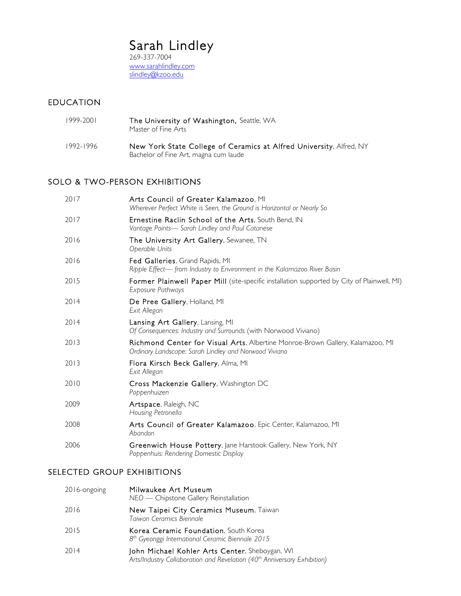# Sarah Lindley<br>269-337-7004

www.sarahlindley.com slindley@kzoo.edu

#### EDUCATION

| 1999-2001 | The University of Washington, Seattle, WA<br>Master of Fine Arts                                             |
|-----------|--------------------------------------------------------------------------------------------------------------|
| 1992-1996 | New York State College of Ceramics at Alfred University, Alfred, NY<br>Bachelor of Fine Art, magna cum laude |

## SOLO & TWO-PERSON EXHIBITIONS

| 2017 | Arts Council of Greater Kalamazoo, MI<br>Wherever Perfect White is Seen, the Ground is Horizontal or Nearly So                          |
|------|-----------------------------------------------------------------------------------------------------------------------------------------|
| 2017 | Ernestine Raclin School of the Arts, South Bend, IN<br>Vantage Points-Sarah Lindley and Paul Catanese                                   |
| 2016 | The University Art Gallery, Sewanee, TN<br>Operable Units                                                                               |
| 2016 | Fed Galleries, Grand Rapids, MI<br>Ripple Effect-from Industry to Environment in the Kalamazoo River Basin                              |
| 2015 | Former Plainwell Paper Mill (site-specific installation supported by City of Plainwell, MI)<br>Exposure Pathways                        |
| 2014 | De Pree Gallery, Holland, MI<br>Exit Allegan                                                                                            |
| 2014 | Lansing Art Gallery, Lansing, MI<br>Of Consequences: Industry and Surrounds (with Norwood Viviano)                                      |
| 2013 | Richmond Center for Visual Arts, Albertine Monroe-Brown Gallery, Kalamazoo, MI<br>Ordinary Landscape: Sarah Lindley and Norwood Viviano |
| 2013 | Flora Kirsch Beck Gallery, Alma, MI<br>Exit Allegan                                                                                     |
| 2010 | Cross Mackenzie Gallery, Washington DC<br>Poppenhuizen                                                                                  |
| 2009 | Artspace, Raleigh, NC<br>Housing Petronella                                                                                             |
| 2008 | Arts Council of Greater Kalamazoo, Epic Center, Kalamazoo, MI<br>Abandon                                                                |
| 2006 | Greenwich House Pottery, Jane Harstook Gallery, New York, NY<br>Poppenhuis: Rendering Domestic Display                                  |
|      |                                                                                                                                         |

#### SELECTED GROUP EXHIBITIONS

| 2016-ongoing | Milwaukee Art Museum<br>NEO — Chipstone Gallery Reinstallation                                                                         |
|--------------|----------------------------------------------------------------------------------------------------------------------------------------|
| 2016         | New Taipei City Ceramics Museum, Taiwan<br>Taiwan Ceramics Biennale                                                                    |
| 2015         | Korea Ceramic Foundation, South Korea<br>8 <sup>th</sup> Gyeonggi International Ceramic Biennale 2015                                  |
| 2014         | John Michael Kohler Arts Center, Sheboygan, WI<br>Arts/Industry Collaboration and Revelation (40 <sup>th</sup> Anniversary Exhibition) |